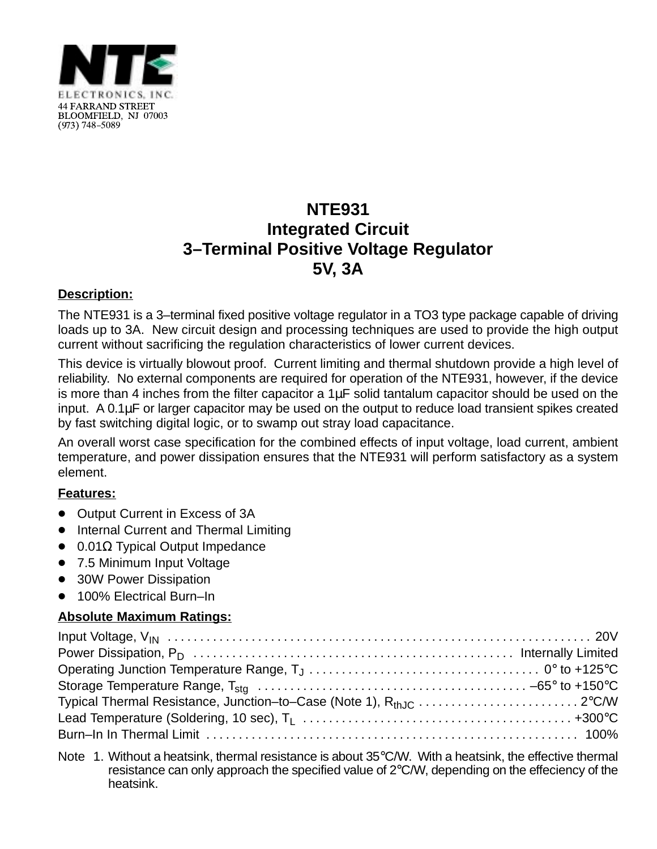

## **NTE931 Integrated Circuit 3–Terminal Positive Voltage Regulator 5V, 3A**

## **Description:**

The NTE931 is a 3–terminal fixed positive voltage regulator in a TO3 type package capable of driving loads up to 3A. New circuit design and processing techniques are used to provide the high output current without sacrificing the regulation characteristics of lower current devices.

This device is virtually blowout proof. Current limiting and thermal shutdown provide a high level of reliability. No external components are required for operation of the NTE931, however, if the device is more than 4 inches from the filter capacitor a  $1\mu$ F solid tantalum capacitor should be used on the input. A 0.1µF or larger capacitor may be used on the output to reduce load transient spikes created by fast switching digital logic, or to swamp out stray load capacitance.

An overall worst case specification for the combined effects of input voltage, load current, ambient temperature, and power dissipation ensures that the NTE931 will perform satisfactory as a system element.

## **Features:**

- Output Current in Excess of 3A
- Internal Current and Thermal Limiting
- $\bullet$  0.01 $\Omega$  Typical Output Impedance
- 7.5 Minimum Input Voltage
- $\bullet$ 30W Power Dissipation
- $\bullet$ 100% Electrical Burn–In

## **Absolute Maximum Ratings:**

Note 1. Without a heatsink, thermal resistance is about 35°C/W. With a heatsink, the effective thermal resistance can only approach the specified value of 2°C/W, depending on the effeciency of the heatsink.